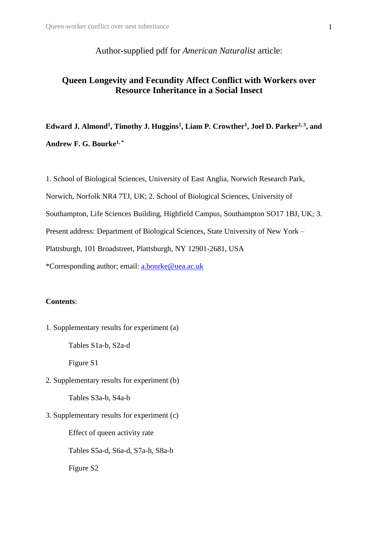Author-supplied pdf for *American Naturalist* article:

# **Queen Longevity and Fecundity Affect Conflict with Workers over Resource Inheritance in a Social Insect**

**Edward J. Almond<sup>1</sup> , Timothy J. Huggins<sup>1</sup> , Liam P. Crowther<sup>1</sup> , Joel D. Parker2, 3, and Andrew F. G. Bourke1, \***

1. School of Biological Sciences, University of East Anglia, Norwich Research Park,

Norwich, Norfolk NR4 7TJ, UK; 2. School of Biological Sciences, University of

Southampton, Life Sciences Building, Highfield Campus, Southampton SO17 1BJ, UK; 3.

Present address: Department of Biological Sciences, State University of New York –

Plattsburgh, 101 Broadstreet, Plattsburgh, NY 12901-2681, USA

\*Corresponding author; email: [a.bourke@uea.ac.uk](mailto:a.bourke@uea.ac.uk)

#### **Contents**:

1. Supplementary results for experiment (a)

Tables S1a-b, S2a-d

Figure S1

2. Supplementary results for experiment (b)

Tables S3a-b, S4a-b

3. Supplementary results for experiment (c)

Effect of queen activity rate Tables S5a-d, S6a-d, S7a-h, S8a-b Figure S2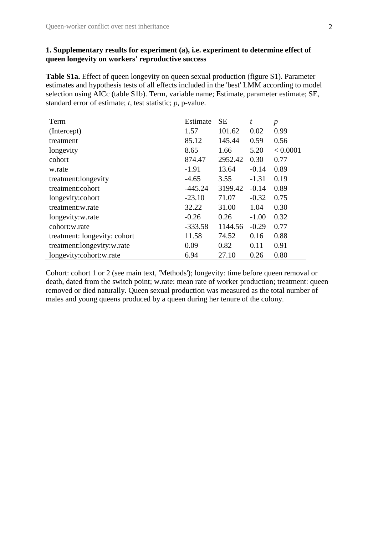#### **1. Supplementary results for experiment (a), i.e. experiment to determine effect of queen longevity on workers' reproductive success**

Table S1a. Effect of queen longevity on queen sexual production (figure S1). Parameter estimates and hypothesis tests of all effects included in the 'best' LMM according to model selection using AICc (table S1b). Term, variable name; Estimate, parameter estimate; SE, standard error of estimate; *t*, test statistic; *p*, p-value.

| Term                         | Estimate  | <b>SE</b> | $\boldsymbol{t}$ | p        |
|------------------------------|-----------|-----------|------------------|----------|
| (Intercept)                  | 1.57      | 101.62    | 0.02             | 0.99     |
| treatment                    | 85.12     | 145.44    | 0.59             | 0.56     |
| longevity                    | 8.65      | 1.66      | 5.20             | < 0.0001 |
| cohort                       | 874.47    | 2952.42   | 0.30             | 0.77     |
| w.rate                       | $-1.91$   | 13.64     | $-0.14$          | 0.89     |
| treatment: longevity         | $-4.65$   | 3.55      | $-1.31$          | 0.19     |
| treatment:cohort             | $-445.24$ | 3199.42   | $-0.14$          | 0.89     |
| longevity: cohort            | $-23.10$  | 71.07     | $-0.32$          | 0.75     |
| treatment:w.rate             | 32.22     | 31.00     | 1.04             | 0.30     |
| longevity:w.rate             | $-0.26$   | 0.26      | $-1.00$          | 0.32     |
| cohort:w.rate                | $-333.58$ | 1144.56   | $-0.29$          | 0.77     |
| treatment: longevity: cohort | 11.58     | 74.52     | 0.16             | 0.88     |
| treatment:longevity:w.rate   | 0.09      | 0.82      | 0.11             | 0.91     |
| longevity:cohort:w.rate      | 6.94      | 27.10     | 0.26             | 0.80     |

Cohort: cohort 1 or 2 (see main text, 'Methods'); longevity: time before queen removal or death, dated from the switch point; w.rate: mean rate of worker production; treatment: queen removed or died naturally. Queen sexual production was measured as the total number of males and young queens produced by a queen during her tenure of the colony.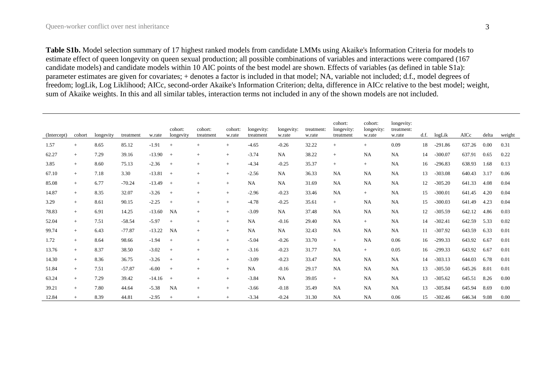**Table S1b.** Model selection summary of 17 highest ranked models from candidate LMMs using Akaike's Information Criteria for models to estimate effect of queen longevity on queen sexual production; all possible combinations of variables and interactions were compared (167 candidate models) and candidate models within 10 AIC points of the best model are shown. Effects of variables (as defined in table S1a): parameter estimates are given for covariates; + denotes a factor is included in that model; NA, variable not included; d.f., model degrees of freedom; logLik, Log Liklihood; AICc, second-order Akaike's Information Criterion; delta, difference in AICc relative to the best model; weight, sum of Akaike weights. In this and all similar tables, interaction terms not included in any of the shown models are not included.

| (Intercept) | cohort | longevity | treatment | w.rate   | cohort:<br>longevity | cohort:<br>treatment | cohort:<br>w.rate | longevity:<br>treatment | longevity:<br>w.rate | treatment:<br>w.rate | cohort:<br>longevity:<br>treatment | cohort:<br>longevity:<br>w.rate | longevity:<br>treatment:<br>w.rate | d.f. | logLik    | AICc   | delta | weight |
|-------------|--------|-----------|-----------|----------|----------------------|----------------------|-------------------|-------------------------|----------------------|----------------------|------------------------------------|---------------------------------|------------------------------------|------|-----------|--------|-------|--------|
| 1.57        | $+$    | 8.65      | 85.12     | $-1.91$  | $+$                  | $^{+}$               | $+$               | $-4.65$                 | $-0.26$              | 32.22                | $+$                                | $^{+}$                          | 0.09                               | 18   | $-291.86$ | 637.26 | 0.00  | 0.31   |
| 62.27       | $+$    | 7.29      | 39.16     | $-13.90$ | $+$                  | $^{+}$               | $^{+}$            | $-3.74$                 | NA                   | 38.22                | $+$                                | <b>NA</b>                       | <b>NA</b>                          | 14   | $-300.07$ | 637.91 | 0.65  | 0.22   |
| 3.85        | $+$    | 8.60      | 75.13     | $-2.36$  | $+$                  | $^{+}$               | $+$               | $-4.34$                 | $-0.25$              | 35.37                | $+$                                | $+$                             | <b>NA</b>                          | 16   | $-296.83$ | 638.93 | 1.68  | 0.13   |
| 67.10       | $+$    | 7.18      | 3.30      | $-13.81$ | $+$                  | $+$                  | $+$               | $-2.56$                 | <b>NA</b>            | 36.33                | NA                                 | <b>NA</b>                       | <b>NA</b>                          | 13   | $-303.08$ | 640.43 | 3.17  | 0.06   |
| 85.08       | $+$    | 6.77      | $-70.24$  | $-13.49$ | $+$                  | $+$                  | $+$               | <b>NA</b>               | NA                   | 31.69                | NA                                 | <b>NA</b>                       | NA                                 | 12   | $-305.20$ | 641.33 | 4.08  | 0.04   |
| 14.87       | $+$    | 8.35      | 32.07     | $-3.26$  | $+$                  | $+$                  | $+$               | $-2.96$                 | $-0.23$              | 33.46                | NA                                 | $+$                             | <b>NA</b>                          | 15   | $-300.01$ | 641.45 | 4.20  | 0.04   |
| 3.29        | $+$    | 8.61      | 90.15     | $-2.25$  | $+$                  | $+$                  | $+$               | $-4.78$                 | $-0.25$              | 35.61                | $+$                                | <b>NA</b>                       | <b>NA</b>                          | 15   | $-300.03$ | 641.49 | 4.23  | 0.04   |
| 78.83       | $+$    | 6.91      | 14.25     | $-13.60$ | NA                   | $\! +$               | $+$               | $-3.09$                 | <b>NA</b>            | 37.48                | NA                                 | <b>NA</b>                       | <b>NA</b>                          | 12   | $-305.59$ | 642.12 | 4.86  | 0.03   |
| 52.04       | $+$    | 7.51      | $-58.54$  | $-5.97$  | $+$                  | $\! +$               | $+$               | <b>NA</b>               | $-0.16$              | 29.40                | <b>NA</b>                          | $+$                             | <b>NA</b>                          | 14   | $-302.41$ | 642.59 | 5.33  | 0.02   |
| 99.74       | $+$    | 6.43      | $-77.87$  | $-13.22$ | NA                   | $^{+}$               | $+$               | <b>NA</b>               | <b>NA</b>            | 32.43                | <b>NA</b>                          | <b>NA</b>                       | <b>NA</b>                          | 11   | $-307.92$ | 643.59 | 6.33  | 0.01   |
| 1.72        | $+$    | 8.64      | 98.66     | $-1.94$  | $+$                  | $+$                  | $+$               | $-5.04$                 | $-0.26$              | 33.70                | $+$                                | <b>NA</b>                       | 0.06                               | 16   | $-299.33$ | 643.92 | 6.67  | 0.01   |
| 13.76       | $+$    | 8.37      | 38.50     | $-3.02$  | $+$                  | $+$                  | $+$               | $-3.16$                 | $-0.23$              | 31.77                | <b>NA</b>                          | $+$                             | 0.05                               | 16   | $-299.33$ | 643.92 | 6.67  | 0.01   |
| 14.30       | $+$    | 8.36      | 36.75     | $-3.26$  | $+$                  | $+$                  | $+$               | $-3.09$                 | $-0.23$              | 33.47                | NA                                 | <b>NA</b>                       | <b>NA</b>                          | 14   | $-303.13$ | 644.03 | 6.78  | 0.01   |
| 51.84       | $+$    | 7.51      | $-57.87$  | $-6.00$  | $+$                  | $+$                  | $+$               | <b>NA</b>               | $-0.16$              | 29.17                | NA                                 | <b>NA</b>                       | <b>NA</b>                          | 13   | $-305.50$ | 645.26 | 8.01  | 0.01   |
| 63.24       | $+$    | 7.29      | 39.42     | $-14.16$ | $+$                  | $\! +$               | $+$               | $-3.84$                 | <b>NA</b>            | 39.05                | $+$                                | <b>NA</b>                       | <b>NA</b>                          | 13   | $-305.62$ | 645.51 | 8.26  | 0.00   |
| 39.21       | $+$    | 7.80      | 44.64     | $-5.38$  | <b>NA</b>            | $\! +$               | $^{+}$            | $-3.66$                 | $-0.18$              | 35.49                | <b>NA</b>                          | <b>NA</b>                       | <b>NA</b>                          | 13   | $-305.84$ | 645.94 | 8.69  | 0.00   |
| 12.84       | $+$    | 8.39      | 44.81     | $-2.95$  | $+$                  | $+$                  | $+$               | $-3.34$                 | $-0.24$              | 31.30                | NA                                 | <b>NA</b>                       | 0.06                               | 15   | $-302.46$ | 646.34 | 9.08  | 0.00   |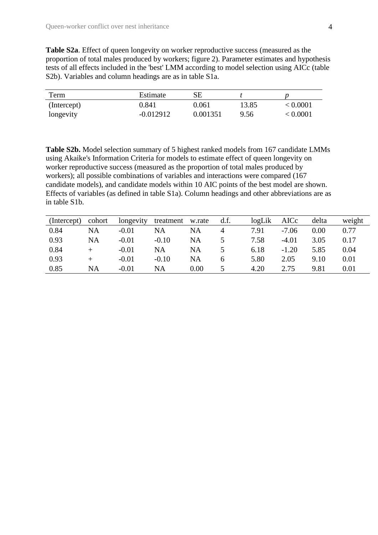**Table S2a**. Effect of queen longevity on worker reproductive success (measured as the proportion of total males produced by workers; figure 2). Parameter estimates and hypothesis tests of all effects included in the 'best' LMM according to model selection using AICc (table S2b). Variables and column headings are as in table S1a.

| Term        | Estimate    | SЕ       |       |          |
|-------------|-------------|----------|-------|----------|
| (Intercept) | 0.841       | 0.061    | 13.85 | < 0.0001 |
| longevity   | $-0.012912$ | 0.001351 | 9.56  | < 0.0001 |

**Table S2b.** Model selection summary of 5 highest ranked models from 167 candidate LMMs using Akaike's Information Criteria for models to estimate effect of queen longevity on worker reproductive success (measured as the proportion of total males produced by workers); all possible combinations of variables and interactions were compared (167 candidate models), and candidate models within 10 AIC points of the best model are shown. Effects of variables (as defined in table S1a). Column headings and other abbreviations are as in table S1b.

| (Intercept) | cohort    | longevity | treatment | w.rate   | d.f. | logLik | AICc    | delta | weight |
|-------------|-----------|-----------|-----------|----------|------|--------|---------|-------|--------|
| 0.84        | NA        | $-0.01$   | NA        | NA       |      | 7.91   | $-7.06$ | 0.00  | 0.77   |
| 0.93        | <b>NA</b> | $-0.01$   | $-0.10$   | NA       |      | 7.58   | $-4.01$ | 3.05  | 0.17   |
| 0.84        |           | $-0.01$   | NA        | NA       |      | 6.18   | $-1.20$ | 5.85  | 0.04   |
| 0.93        | $^+$      | $-0.01$   | $-0.10$   | NA       |      | 5.80   | 2.05    | 9.10  | 0.01   |
| 0.85        | <b>NA</b> | $-0.01$   | NA        | $0.00\,$ |      | 4.20   | 2.75    | 9.81  | 0.01   |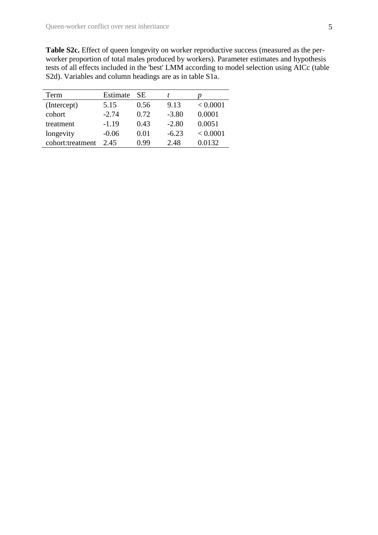**Table S2c.** Effect of queen longevity on worker reproductive success (measured as the perworker proportion of total males produced by workers). Parameter estimates and hypothesis tests of all effects included in the 'best' LMM according to model selection using AICc (table S2d). Variables and column headings are as in table S1a.

| Term             | Estimate | -SE  |         |          |
|------------------|----------|------|---------|----------|
| (Intercept)      | 5.15     | 0.56 | 9.13    | < 0.0001 |
| cohort           | $-2.74$  | 0.72 | $-3.80$ | 0.0001   |
| treatment        | $-1.19$  | 0.43 | $-2.80$ | 0.0051   |
| longevity        | $-0.06$  | 0.01 | $-6.23$ | < 0.0001 |
| cohort:treatment | 2.45     | 0.99 | 2.48    | 0.0132   |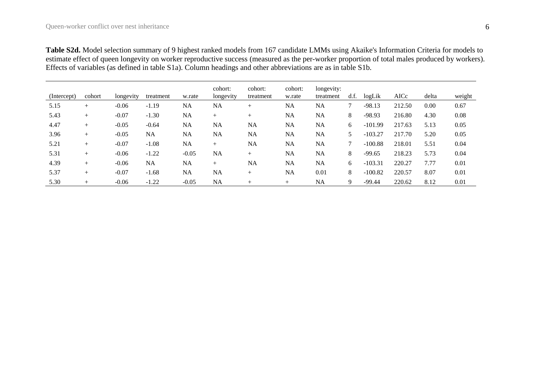**Table S2d.** Model selection summary of 9 highest ranked models from 167 candidate LMMs using Akaike's Information Criteria for models to estimate effect of queen longevity on worker reproductive success (measured as the per-worker proportion of total males produced by workers). Effects of variables (as defined in table S1a). Column headings and other abbreviations are as in table S1b.

| (Intercept) | cohort | longevity | treatment | w.rate    | cohort:<br>longevity | cohort:<br>treatment | cohort:<br>w.rate | longevity:<br>treatment | df. | logLik    | AICc   | delta | weight |
|-------------|--------|-----------|-----------|-----------|----------------------|----------------------|-------------------|-------------------------|-----|-----------|--------|-------|--------|
| 5.15        | $^{+}$ | $-0.06$   | $-1.19$   | <b>NA</b> | NA                   | $^{+}$               | <b>NA</b>         | NA                      |     | $-98.13$  | 212.50 | 0.00  | 0.67   |
| 5.43        | $^{+}$ | $-0.07$   | $-1.30$   | <b>NA</b> | $^{+}$               | $^{+}$               | <b>NA</b>         | NA                      | 8   | $-98.93$  | 216.80 | 4.30  | 0.08   |
| 4.47        | $+$    | $-0.05$   | $-0.64$   | <b>NA</b> | <b>NA</b>            | <b>NA</b>            | <b>NA</b>         | NA                      | 6   | $-101.99$ | 217.63 | 5.13  | 0.05   |
| 3.96        | $^{+}$ | $-0.05$   | NA        | <b>NA</b> | <b>NA</b>            | NA                   | <b>NA</b>         | NA                      | 5   | $-103.27$ | 217.70 | 5.20  | 0.05   |
| 5.21        | $^{+}$ | $-0.07$   | $-1.08$   | NA        | $^{+}$               | NA                   | <b>NA</b>         | NA                      |     | $-100.88$ | 218.01 | 5.51  | 0.04   |
| 5.31        | $^{+}$ | $-0.06$   | $-1.22$   | $-0.05$   | NA                   | $+$                  | <b>NA</b>         | NA                      | 8   | $-99.65$  | 218.23 | 5.73  | 0.04   |
| 4.39        | $+$    | $-0.06$   | NA        | <b>NA</b> | $^{+}$               | <b>NA</b>            | <b>NA</b>         | NA                      | 6   | $-103.31$ | 220.27 | 7.77  | 0.01   |
| 5.37        | $^{+}$ | $-0.07$   | $-1.68$   | NA        | NA                   | $+$                  | <b>NA</b>         | 0.01                    | 8   | $-100.82$ | 220.57 | 8.07  | 0.01   |
| 5.30        | $^{+}$ | $-0.06$   | $-1.22$   | $-0.05$   | <b>NA</b>            | $^{+}$               | $+$               | NA                      | 9   | $-99.44$  | 220.62 | 8.12  | 0.01   |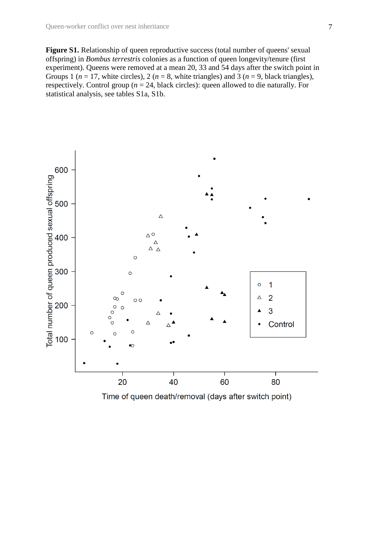Figure S1. Relationship of queen reproductive success (total number of queens' sexual offspring) in *Bombus terrestris* colonies as a function of queen longevity/tenure (first experiment). Queens were removed at a mean 20, 33 and 54 days after the switch point in Groups 1 ( $n = 17$ , white circles), 2 ( $n = 8$ , white triangles) and 3 ( $n = 9$ , black triangles), respectively. Control group (*n* = 24, black circles): queen allowed to die naturally. For statistical analysis, see tables S1a, S1b.



Time of queen death/removal (days after switch point)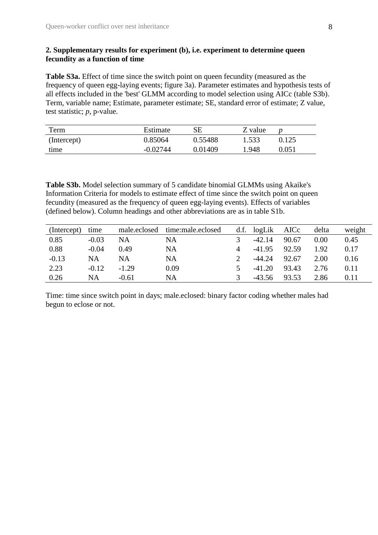#### **2. Supplementary results for experiment (b), i.e. experiment to determine queen fecundity as a function of time**

**Table S3a.** Effect of time since the switch point on queen fecundity (measured as the frequency of queen egg-laying events; figure 3a). Parameter estimates and hypothesis tests of all effects included in the 'best' GLMM according to model selection using AICc (table S3b). Term, variable name; Estimate, parameter estimate; SE, standard error of estimate; Z value, test statistic; *p*, p-value.

| Term        | Estimate   | SЕ      | Z value |       |
|-------------|------------|---------|---------|-------|
| (Intercept) | 0.85064    | 0.55488 | 1.533   | 0.125 |
| time        | $-0.02744$ | 0.01409 | 1.948   | 0.051 |

**Table S3b.** Model selection summary of 5 candidate binomial GLMMs using Akaike's Information Criteria for models to estimate effect of time since the switch point on queen fecundity (measured as the frequency of queen egg-laying events). Effects of variables (defined below). Column headings and other abbreviations are as in table S1b.

| (Intercept) | time    | male.eclosed | time:male.eclosed | d.f. | logLik   | AICc  | delta | weight |
|-------------|---------|--------------|-------------------|------|----------|-------|-------|--------|
| 0.85        | $-0.03$ | NA           | NA                |      | $-42.14$ | 90.67 | 0.00  | 0.45   |
| 0.88        | $-0.04$ | 0.49         | NA                |      | $-41.95$ | 92.59 | 1.92  | 0.17   |
| $-0.13$     | NA      | NA           | NA                |      | $-44.24$ | 92.67 | 2.00  | 0.16   |
| 2.23        | $-0.12$ | $-1.29$      | 0.09              |      | $-41.20$ | 93.43 | 2.76  | 0.11   |
| 0.26        | NA      | $-0.61$      | NA                |      | $-43.56$ | 93.53 | 2.86  | 0.11   |

Time: time since switch point in days; male.eclosed: binary factor coding whether males had begun to eclose or not.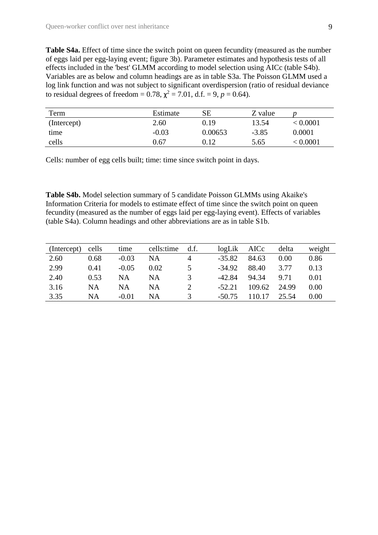**Table S4a.** Effect of time since the switch point on queen fecundity (measured as the number of eggs laid per egg-laying event; figure 3b). Parameter estimates and hypothesis tests of all effects included in the 'best' GLMM according to model selection using AICc (table S4b). Variables are as below and column headings are as in table S3a. The Poisson GLMM used a log link function and was not subject to significant overdispersion (ratio of residual deviance to residual degrees of freedom =  $0.78$ ,  $\chi^2 = 7.01$ , d.f. = 9,  $p = 0.64$ ).

| Term        | Estimate | SЕ      | Z value |          |
|-------------|----------|---------|---------|----------|
| (Intercept) | 2.60     | 0.19    | 13.54   | < 0.0001 |
| time        | $-0.03$  | 0.00653 | $-3.85$ | 0.0001   |
| cells       | 0.67     | 0.12    | 5.65    | < 0.0001 |

Cells: number of egg cells built; time: time since switch point in days.

**Table S4b.** Model selection summary of 5 candidate Poisson GLMMs using Akaike's Information Criteria for models to estimate effect of time since the switch point on queen fecundity (measured as the number of eggs laid per egg-laying event). Effects of variables (table S4a). Column headings and other abbreviations are as in table S1b.

| (Intercept) | cells | time    | cells:time | df.          | logLik   | AICc   | delta | weight |
|-------------|-------|---------|------------|--------------|----------|--------|-------|--------|
| 2.60        | 0.68  | $-0.03$ | NA         | 4            | $-35.82$ | 84.63  | 0.00  | 0.86   |
| 2.99        | 0.41  | $-0.05$ | 0.02       |              | $-34.92$ | 88.40  | 3.77  | 0.13   |
| 2.40        | 0.53  | NA      | NA         | $\mathbf{R}$ | $-42.84$ | 94.34  | 9.71  | 0.01   |
| 3.16        | NA    | NA      | NΑ         |              | $-52.21$ | 109.62 | 24.99 | 0.00   |
| 3.35        | NA    | $-0.01$ | NA         |              | $-50.75$ | 110.17 | 25.54 | 0.00   |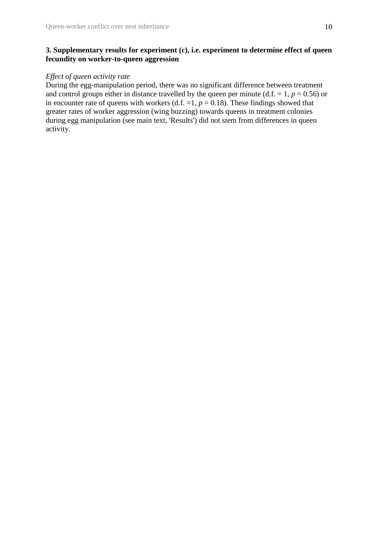### **3. Supplementary results for experiment (c), i.e. experiment to determine effect of queen fecundity on worker-to-queen aggression**

## *Effect of queen activity rate*

During the egg-manipulation period, there was no significant difference between treatment and control groups either in distance travelled by the queen per minute (d.f.  $= 1, p = 0.56$ ) or in encounter rate of queens with workers (d.f.  $=1$ ,  $p = 0.18$ ). These findings showed that greater rates of worker aggression (wing buzzing) towards queens in treatment colonies during egg manipulation (see main text, 'Results') did not stem from differences in queen activity.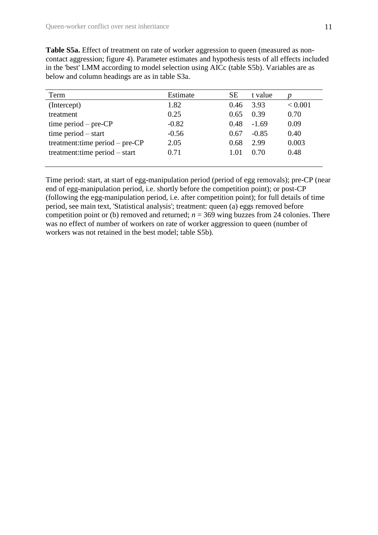**Table S5a.** Effect of treatment on rate of worker aggression to queen (measured as noncontact aggression; figure 4). Parameter estimates and hypothesis tests of all effects included in the 'best' LMM according to model selection using AICc (table S5b). Variables are as below and column headings are as in table S3a.

| Term                              | Estimate | SE   | t value |             |
|-----------------------------------|----------|------|---------|-------------|
| (Intercept)                       | 1.82     | 0.46 | 3.93    | ${}< 0.001$ |
| treatment                         | 0.25     | 0.65 | 0.39    | 0.70        |
| time period $-$ pre-CP            | $-0.82$  | 0.48 | $-1.69$ | 0.09        |
| time period $-$ start             | $-0.56$  | 0.67 | $-0.85$ | 0.40        |
| treatment: time period $-$ pre-CP | 2.05     | 0.68 | 2.99    | 0.003       |
| treatment: time period – start    | 0.71     | 1.01 | 0.70    | 0.48        |
|                                   |          |      |         |             |

Time period: start, at start of egg-manipulation period (period of egg removals); pre-CP (near end of egg-manipulation period, i.e. shortly before the competition point); or post-CP (following the egg-manipulation period, i.e. after competition point); for full details of time period, see main text, 'Statistical analysis'; treatment: queen (a) eggs removed before competition point or (b) removed and returned;  $n = 369$  wing buzzes from 24 colonies. There was no effect of number of workers on rate of worker aggression to queen (number of workers was not retained in the best model; table S5b).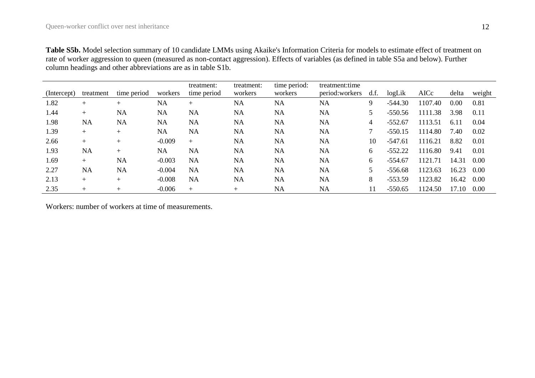|             |           |             |           | treatment:  | treatment: | time period: | treatment: time |      |           |         |       |        |
|-------------|-----------|-------------|-----------|-------------|------------|--------------|-----------------|------|-----------|---------|-------|--------|
| (Intercept) | treatment | time period | workers   | time period | workers    | workers      | period: workers | d.f. | logLik    | AICc    | delta | weight |
| 1.82        | $^{+}$    | $+$         | <b>NA</b> | $^{+}$      | <b>NA</b>  | <b>NA</b>    | <b>NA</b>       | 9    | $-544.30$ | 1107.40 | 0.00  | 0.81   |
| 1.44        | $+$       | <b>NA</b>   | <b>NA</b> | <b>NA</b>   | <b>NA</b>  | <b>NA</b>    | <b>NA</b>       |      | $-550.56$ | 1111.38 | 3.98  | 0.11   |
| 1.98        | <b>NA</b> | <b>NA</b>   | <b>NA</b> | <b>NA</b>   | <b>NA</b>  | <b>NA</b>    | <b>NA</b>       | 4    | $-552.67$ | 1113.51 | 6.11  | 0.04   |
| 1.39        | $+$       | $^{+}$      | NA        | <b>NA</b>   | <b>NA</b>  | <b>NA</b>    | <b>NA</b>       |      | $-550.15$ | 1114.80 | 7.40  | 0.02   |
| 2.66        | $+$       | $+$         | $-0.009$  | $+$         | NA         | <b>NA</b>    | <b>NA</b>       | 10   | $-547.61$ | 1116.21 | 8.82  | 0.01   |
| 1.93        | NA        | $+$         | NA        | NA          | NA         | NA           | <b>NA</b>       | 6    | $-552.22$ | 1116.80 | 9.41  | 0.01   |
| 1.69        | $+$       | <b>NA</b>   | $-0.003$  | <b>NA</b>   | NA         | <b>NA</b>    | <b>NA</b>       | 6    | $-554.67$ | 1121.71 | 14.31 | 0.00   |
| 2.27        | NA        | <b>NA</b>   | $-0.004$  | <b>NA</b>   | NA         | <b>NA</b>    | <b>NA</b>       |      | $-556.68$ | 1123.63 | 16.23 | 0.00   |
| 2.13        | $+$       | $+$         | $-0.008$  | <b>NA</b>   | NA         | NA           | <b>NA</b>       | 8    | $-553.59$ | 1123.82 | 16.42 | 0.00   |
| 2.35        | $^{+}$    | $^{+}$      | $-0.006$  | $+$         | $^{+}$     | NA           | <b>NA</b>       | 11   | $-550.65$ | 1124.50 | 17.10 | 0.00   |

Workers: number of workers at time of measurements.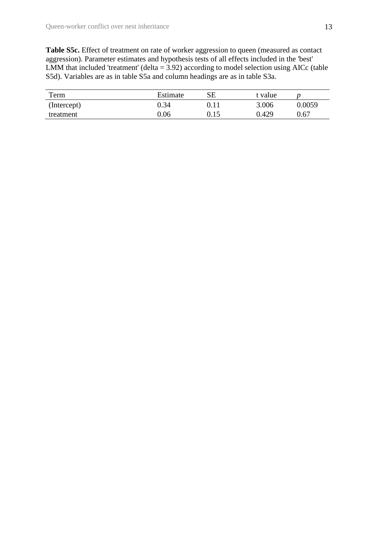Table S5c. Effect of treatment on rate of worker aggression to queen (measured as contact aggression). Parameter estimates and hypothesis tests of all effects included in the 'best' LMM that included 'treatment' (delta =  $3.92$ ) according to model selection using AICc (table S5d). Variables are as in table S5a and column headings are as in table S3a.

| Term        | Estimate | SЕ   | t value |          |
|-------------|----------|------|---------|----------|
| (Intercept) | 0.34     | 0.11 | 3.006   | 0.0059   |
| treatment   | 0.06     | 0.15 | 0.429   | $0.67\,$ |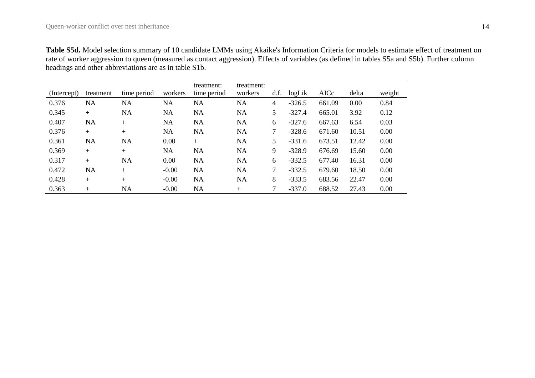**Table S5d.** Model selection summary of 10 candidate LMMs using Akaike's Information Criteria for models to estimate effect of treatment on rate of worker aggression to queen (measured as contact aggression). Effects of variables (as defined in tables S5a and S5b). Further column headings and other abbreviations are as in table S1b.

| (Intercept) | treatment | time period | workers | treatment:<br>time period | treatment:<br>workers | d.f. | logLik   | AICc   | delta | weight |
|-------------|-----------|-------------|---------|---------------------------|-----------------------|------|----------|--------|-------|--------|
| 0.376       | NA        | <b>NA</b>   | NA      | NA                        | NA                    | 4    | $-326.5$ | 661.09 | 0.00  | 0.84   |
| 0.345       | $^{+}$    | <b>NA</b>   | NA      | NA                        | NA                    | 5    | $-327.4$ | 665.01 | 3.92  | 0.12   |
| 0.407       | <b>NA</b> | $+$         | NA      | NA                        | NA                    | 6    | $-327.6$ | 667.63 | 6.54  | 0.03   |
| 0.376       | $+$       | $+$         | NA      | <b>NA</b>                 | NA                    | 7    | $-328.6$ | 671.60 | 10.51 | 0.00   |
| 0.361       | <b>NA</b> | NA          | 0.00    | $+$                       | NA                    | 5.   | $-331.6$ | 673.51 | 12.42 | 0.00   |
| 0.369       | $^{+}$    | $^{+}$      | NA      | <b>NA</b>                 | NA                    | 9    | $-328.9$ | 676.69 | 15.60 | 0.00   |
| 0.317       | $^{+}$    | NA          | 0.00    | NA                        | NA                    | 6    | $-332.5$ | 677.40 | 16.31 | 0.00   |
| 0.472       | <b>NA</b> | $+$         | $-0.00$ | <b>NA</b>                 | NA                    | 7    | $-332.5$ | 679.60 | 18.50 | 0.00   |
| 0.428       | $+$       | $^{+}$      | $-0.00$ | NA                        | NA                    | 8    | $-333.5$ | 683.56 | 22.47 | 0.00   |
| 0.363       | $^{+}$    | <b>NA</b>   | $-0.00$ | <b>NA</b>                 | $^{+}$                |      | $-337.0$ | 688.52 | 27.43 | 0.00   |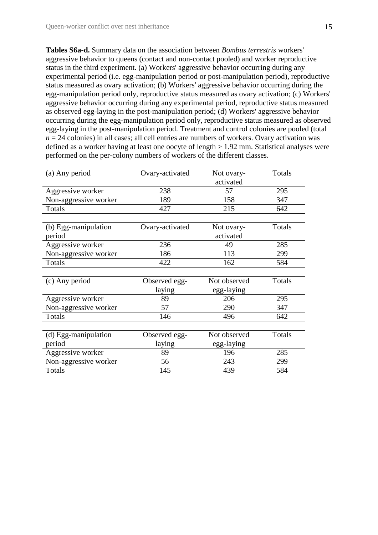**Tables S6a-d.** Summary data on the association between *Bombus terrestris* workers' aggressive behavior to queens (contact and non-contact pooled) and worker reproductive status in the third experiment. (a) Workers' aggressive behavior occurring during any experimental period (i.e. egg-manipulation period or post-manipulation period), reproductive status measured as ovary activation; (b) Workers' aggressive behavior occurring during the egg-manipulation period only, reproductive status measured as ovary activation; (c) Workers' aggressive behavior occurring during any experimental period, reproductive status measured as observed egg-laying in the post-manipulation period; (d) Workers' aggressive behavior occurring during the egg-manipulation period only, reproductive status measured as observed egg-laying in the post-manipulation period. Treatment and control colonies are pooled (total  $n = 24$  colonies) in all cases; all cell entries are numbers of workers. Ovary activation was defined as a worker having at least one oocyte of length > 1.92 mm. Statistical analyses were performed on the per-colony numbers of workers of the different classes.

| (a) Any period        | Ovary-activated | Not ovary-   | Totals |
|-----------------------|-----------------|--------------|--------|
|                       |                 | activated    |        |
| Aggressive worker     | 238             | 57           | 295    |
| Non-aggressive worker | 189             | 158          | 347    |
| Totals                | 427             | 215          | 642    |
|                       |                 |              |        |
| (b) Egg-manipulation  | Ovary-activated | Not ovary-   | Totals |
| period                |                 | activated    |        |
| Aggressive worker     | 236             | 49           | 285    |
| Non-aggressive worker | 186             | 113          | 299    |
| Totals                | 422             | 162          | 584    |
|                       |                 |              |        |
| (c) Any period        | Observed egg-   | Not observed | Totals |
|                       | laying          | egg-laying   |        |
| Aggressive worker     | 89              | 206          | 295    |
| Non-aggressive worker | 57              | 290          | 347    |
| Totals                | 146             | 496          | 642    |
|                       |                 |              |        |
| (d) Egg-manipulation  | Observed egg-   | Not observed | Totals |
| period                | laying          | egg-laying   |        |
| Aggressive worker     | 89              | 196          | 285    |
| Non-aggressive worker | 56              | 243          | 299    |
| Totals                | 145             | 439          | 584    |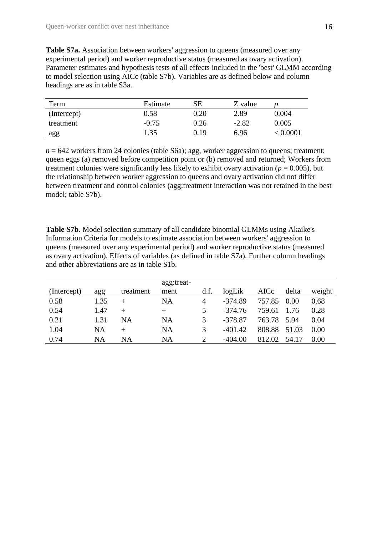Table S7a. Association between workers' aggression to queens (measured over any experimental period) and worker reproductive status (measured as ovary activation). Parameter estimates and hypothesis tests of all effects included in the 'best' GLMM according to model selection using AICc (table S7b). Variables are as defined below and column headings are as in table S3a.

| Term        | Estimate | SЕ   | Z value |        |
|-------------|----------|------|---------|--------|
| (Intercept) | 0.58     | 0.20 | 2.89    | 0.004  |
| treatment   | $-0.75$  | 0.26 | $-2.82$ | 0.005  |
| agg         | 1.35     | 0.19 | 6.96    | 0.0001 |

 $n = 642$  workers from 24 colonies (table S6a); agg, worker aggression to queens; treatment: queen eggs (a) removed before competition point or (b) removed and returned; Workers from treatment colonies were significantly less likely to exhibit ovary activation ( $p = 0.005$ ), but the relationship between worker aggression to queens and ovary activation did not differ between treatment and control colonies (agg:treatment interaction was not retained in the best model; table S7b).

**Table S7b.** Model selection summary of all candidate binomial GLMMs using Akaike's Information Criteria for models to estimate association between workers' aggression to queens (measured over any experimental period) and worker reproductive status (measured as ovary activation). Effects of variables (as defined in table S7a). Further column headings and other abbreviations are as in table S1b.

| (Intercept) | agg  | treatment | agg:treat-<br>ment | d.f. | logLik    | AICc   | delta | weight |
|-------------|------|-----------|--------------------|------|-----------|--------|-------|--------|
| 0.58        | 1.35 | $^{+}$    | NA                 | 4    | $-374.89$ | 757.85 | 0.00  | 0.68   |
| 0.54        | 1.47 | $+$       | $^{+}$             | 5    | $-374.76$ | 759.61 | 1.76  | 0.28   |
| 0.21        | 1.31 | NA        | <b>NA</b>          | 3    | $-378.87$ | 763.78 | 5.94  | 0.04   |
| 1.04        | NA   | $^{+}$    | NA                 | 3    | $-401.42$ | 808.88 | 51.03 | 0.00   |
| 0.74        | NA   | NA        | NA                 |      | $-404.00$ | 812.02 | 54.17 | 0.00   |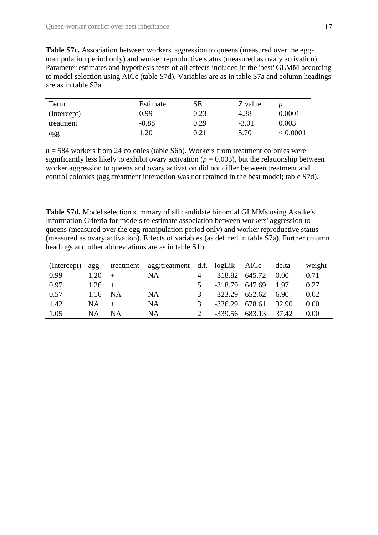**Table S7c.** Association between workers' aggression to queens (measured over the eggmanipulation period only) and worker reproductive status (measured as ovary activation). Parameter estimates and hypothesis tests of all effects included in the 'best' GLMM according to model selection using AICc (table S7d). Variables are as in table S7a and column headings are as in table S3a.

| Term        | Estimate          | SЕ   | Z value |        |
|-------------|-------------------|------|---------|--------|
| (Intercept) | 0.99 <sub>1</sub> | 0.23 | 4.38    | 0.0001 |
| treatment   | $-0.88$           | 0.29 | $-3.01$ | 0.003  |
| agg         | .20               | 0.21 | 5.70    | 0.0001 |

*n* = 584 workers from 24 colonies (table S6b). Workers from treatment colonies were significantly less likely to exhibit ovary activation ( $p = 0.003$ ), but the relationship between worker aggression to queens and ovary activation did not differ between treatment and control colonies (agg:treatment interaction was not retained in the best model; table S7d).

**Table S7d.** Model selection summary of all candidate binomial GLMMs using Akaike's Information Criteria for models to estimate association between workers' aggression to queens (measured over the egg-manipulation period only) and worker reproductive status (measured as ovary activation). Effects of variables (as defined in table S7a). Further column headings and other abbreviations are as in table S1b.

| (Intercept) | agg       | treatment | agg:treatment d.f. logLik AICc |                         |                  |                  | delta | weight |
|-------------|-----------|-----------|--------------------------------|-------------------------|------------------|------------------|-------|--------|
| 0.99        | 1.20      |           | NA                             |                         |                  | $-318.82$ 645.72 | 0.00  | 0.71   |
| 0.97        | 1.26      |           |                                | $\overline{\mathbf{5}}$ | $-318.79$ 647.69 |                  | 1.97  | 0.27   |
| 0.57        | 1.16      | NA        | NA                             | 3                       | $-323.29$ 652.62 |                  | 6.90  | 0.02   |
| 1.42        | <b>NA</b> |           | NΑ                             | 3                       |                  | $-336.29$ 678.61 | 32.90 | 0.00   |
| 1.05        | <b>NA</b> | ΝA        | ΝA                             |                         | $-339.56$ 683.13 |                  | 37.42 | 0.00   |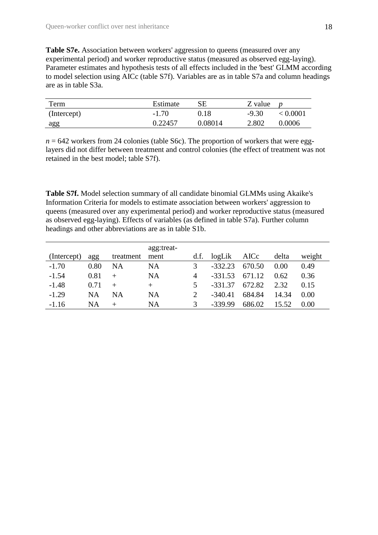**Table S7e.** Association between workers' aggression to queens (measured over any experimental period) and worker reproductive status (measured as observed egg-laying). Parameter estimates and hypothesis tests of all effects included in the 'best' GLMM according to model selection using AICc (table S7f). Variables are as in table S7a and column headings are as in table S3a.

| Term        | Estimate | $_{\rm SE}$ | Z value |          |
|-------------|----------|-------------|---------|----------|
| (Intercept) | $-1.70$  | 0.18        | $-9.30$ | < 0.0001 |
| agg         | 0.22457  | 0.08014     | 2.802   | 0.0006   |

 $n = 642$  workers from 24 colonies (table S6c). The proportion of workers that were egglayers did not differ between treatment and control colonies (the effect of treatment was not retained in the best model; table S7f).

**Table S7f.** Model selection summary of all candidate binomial GLMMs using Akaike's Information Criteria for models to estimate association between workers' aggression to queens (measured over any experimental period) and worker reproductive status (measured as observed egg-laying). Effects of variables (as defined in table S7a). Further column headings and other abbreviations are as in table S1b.

| (Intercept) | agg       | treatment | agg:treat-<br>ment | d.f.                  | logLik    | AICc   | delta | weight |
|-------------|-----------|-----------|--------------------|-----------------------|-----------|--------|-------|--------|
| $-1.70$     | 0.80      | NA        | NA                 | 3                     | $-332.23$ | 670.50 | 0.00  | 0.49   |
| $-1.54$     | 0.81      |           | NA                 | $\overline{4}$        | $-331.53$ | 671.12 | 0.62  | 0.36   |
| $-1.48$     | 0.71      |           | $^{+}$             | 5.                    | $-331.37$ | 672.82 | 2.32  | 0.15   |
| $-1.29$     | <b>NA</b> | NA        | NA                 | $\mathcal{D}_{\cdot}$ | $-340.41$ | 684.84 | 14.34 | 0.00   |
| $-1.16$     | NA        |           | NA                 | 3                     | -339.99   | 686.02 | 15.52 | 0.00   |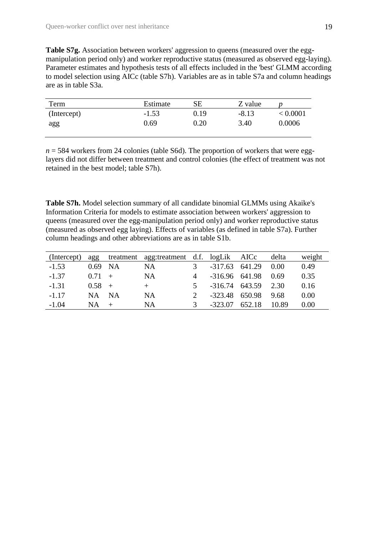**Table S7g.** Association between workers' aggression to queens (measured over the eggmanipulation period only) and worker reproductive status (measured as observed egg-laying). Parameter estimates and hypothesis tests of all effects included in the 'best' GLMM according to model selection using AICc (table S7h). Variables are as in table S7a and column headings are as in table S3a.

| Term        | Estimate | SЕ       | Z value |          |
|-------------|----------|----------|---------|----------|
| (Intercept) | $-1.53$  | 0.19     | $-8.13$ | < 0.0001 |
| agg         | 0.69     | $0.20\,$ | 3.40    | 0.0006   |
|             |          |          |         |          |

 $n = 584$  workers from 24 colonies (table S6d). The proportion of workers that were egglayers did not differ between treatment and control colonies (the effect of treatment was not retained in the best model; table S7h).

**Table S7h.** Model selection summary of all candidate binomial GLMMs using Akaike's Information Criteria for models to estimate association between workers' aggression to queens (measured over the egg-manipulation period only) and worker reproductive status (measured as observed egg laying). Effects of variables (as defined in table S7a). Further column headings and other abbreviations are as in table S1b.

| (Intercept) | agg       |       | treatment agg:treatment d.f. logLik AICc |                |                    |        | delta | weight |
|-------------|-----------|-------|------------------------------------------|----------------|--------------------|--------|-------|--------|
| $-1.53$     | $0.69$ NA |       | <b>NA</b>                                | $\mathcal{R}$  | $-317.63$ $641.29$ |        | 0.00  | 0.49   |
| $-1.37$     | $0.71 +$  |       | NA                                       | 4              | $-316.96$ 641.98   |        | 0.69  | 0.35   |
| $-1.31$     | $0.58 +$  |       | $+$                                      | 5 <sup>7</sup> | -316.74 643.59     |        | 2.30  | 0.16   |
| $-1.17$     | NA.       | $N_A$ | NA                                       |                | $-323.48$ 650.98   |        | 9.68  | 0.00   |
| $-1.04$     | NA.       |       | NA                                       | $\mathcal{R}$  | $-323.07$          | 652.18 | 10.89 | 0.00   |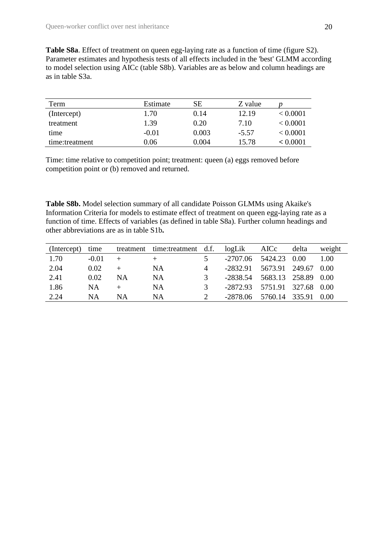**Table S8a**. Effect of treatment on queen egg-laying rate as a function of time (figure S2). Parameter estimates and hypothesis tests of all effects included in the 'best' GLMM according to model selection using AICc (table S8b). Variables are as below and column headings are as in table S3a.

| Term           | Estimate | SЕ    | Z value |          |
|----------------|----------|-------|---------|----------|
| (Intercept)    | 1.70     | 0.14  | 12.19   | < 0.0001 |
| treatment      | 1.39     | 0.20  | 7.10    | < 0.0001 |
| time           | $-0.01$  | 0.003 | $-5.57$ | < 0.0001 |
| time:treatment | 0.06     | 0.004 | 15.78   | < 0.0001 |

Time: time relative to competition point; treatment: queen (a) eggs removed before competition point or (b) removed and returned.

**Table S8b.** Model selection summary of all candidate Poisson GLMMs using Akaike's Information Criteria for models to estimate effect of treatment on queen egg-laying rate as a function of time. Effects of variables (as defined in table S8a). Further column headings and other abbreviations are as in table S1b**.**

| (Intercept) | time    |    | treatment time:treatment d.f. |                | logLik AICc                  | delta | weight |
|-------------|---------|----|-------------------------------|----------------|------------------------------|-------|--------|
| 1.70        | $-0.01$ |    | $+$                           |                | $-2707.06$ 5424.23 0.00      |       | 1.00   |
| 2.04        | 0.02    |    | NA                            | $\overline{4}$ | $-2832.91$ 5673.91 249.67    |       | 0.00   |
| 2.41        | 0.02    | NA | NA                            | $\mathcal{R}$  | -2838.54 5683.13 258.89 0.00 |       |        |
| 1.86        | NA      |    | ΝA                            | $\mathcal{R}$  | -2872.93 5751.91 327.68 0.00 |       |        |
| 2.24        | NA      | ΝA | NA                            |                | $-2878.06$ 5760.14 335.91    |       | 0.00   |